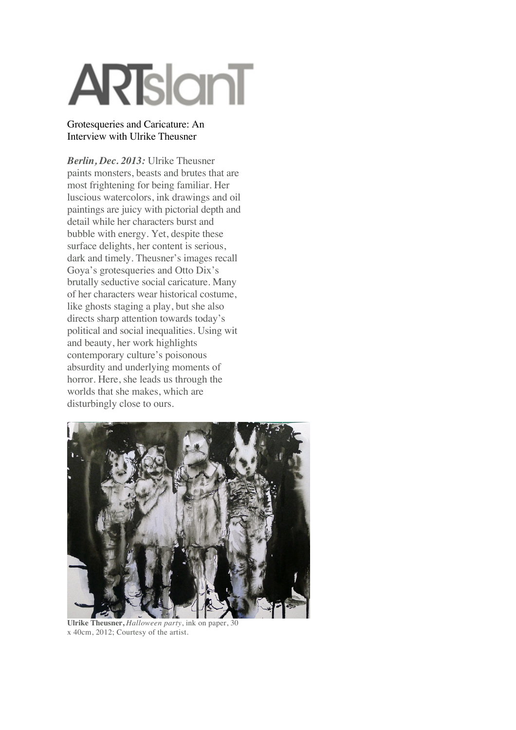# **ARTslanT**

#### Grotesqueries and Caricature: An Interview with Ulrike Theusner

*Berlin, Dec. 2013:* Ulrike Theusner paints monsters, beasts and brutes that are most frightening for being familiar. Her luscious watercolors, ink drawings and oil paintings are juicy with pictorial depth and detail while her characters burst and bubble with energy. Yet, despite these surface delights, her content is serious, dark and timely. Theusner's images recall Goya's grotesqueries and Otto Dix's brutally seductive social caricature. Many of her characters wear historical costume, like ghosts staging a play, but she also directs sharp attention towards today's political and social inequalities. Using wit and beauty, her work highlights contemporary culture's poisonous absurdity and underlying moments of horror. Here, she leads us through the worlds that she makes, which are disturbingly close to ours.



**Ulrike Theusner,** *Halloween party*, ink on paper, 30 x 40cm, 2012; Courtesy of the artist.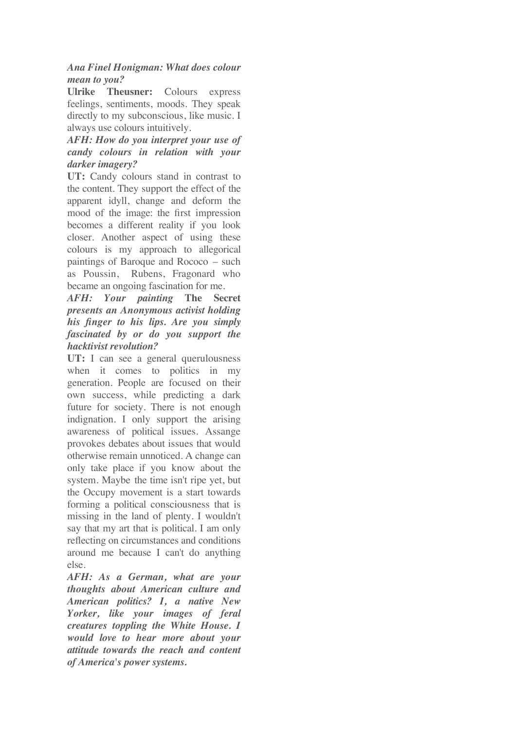# *Ana Finel Honigman: What does colour mean to you?*

**Ulrike Theusner:** Colours express feelings, sentiments, moods. They speak directly to my subconscious, like music. I always use colours intuitively.

# *AFH: How do you interpret your use of candy colours in relation with your darker imagery?*

**UT:** Candy colours stand in contrast to the content. They support the effect of the apparent idyll, change and deform the mood of the image: the first impression becomes a different reality if you look closer. Another aspect of using these colours is my approach to allegorical paintings of Baroque and Rococo – such as Poussin, Rubens, Fragonard who became an ongoing fascination for me.

# *AFH: Your painting* **The Secret** *presents an Anonymous activist holding his finger to his lips. Are you simply fascinated by or do you support the hacktivist revolution?*

**UT:** I can see a general querulousness when it comes to politics in my generation. People are focused on their own success, while predicting a dark future for society. There is not enough indignation. I only support the arising awareness of political issues. Assange provokes debates about issues that would otherwise remain unnoticed. A change can only take place if you know about the system. Maybe the time isn't ripe yet, but the Occupy movement is a start towards forming a political consciousness that is missing in the land of plenty. I wouldn't say that my art that is political. I am only reflecting on circumstances and conditions around me because I can't do anything else.

*AFH: As a German, what are your thoughts about American culture and American politics? I, a native New Yorker, like your images of feral creatures toppling the White House. I would love to hear more about your attitude towards the reach and content of America's power systems.*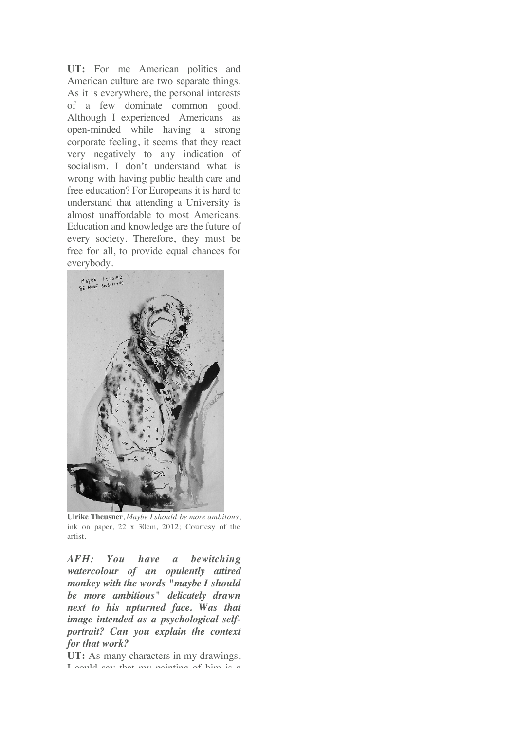*of America's power systems.* **UT:** For me American politics and American culture are two separate things. As it is everywhere, the personal interests of a few dominate common good. Although I experienced Americans as open-minded while having a strong corporate feeling, it seems that they react very negatively to any indication of socialism. I don't understand what is wrong with having public health care and free education? For Europeans it is hard to understand that attending a University is almost unaffordable to most Americans. Education and knowledge are the future of every society. Therefore, they must be free for all, to provide equal chances for everybody.



**Ulrike Theusner**, *Maybe I should be more ambitous*, ink on paper, 22 x 30cm, 2012; Courtesy of the artist.

*AFH: You have a bewitching watercolour of an opulently attired monkey with the words "maybe I should be more ambitious" delicately drawn next to his upturned face. Was that image intended as a psychological selfportrait? Can you explain the context for that work?*

**UT:** As many characters in my drawings, I could say that my painting of him is a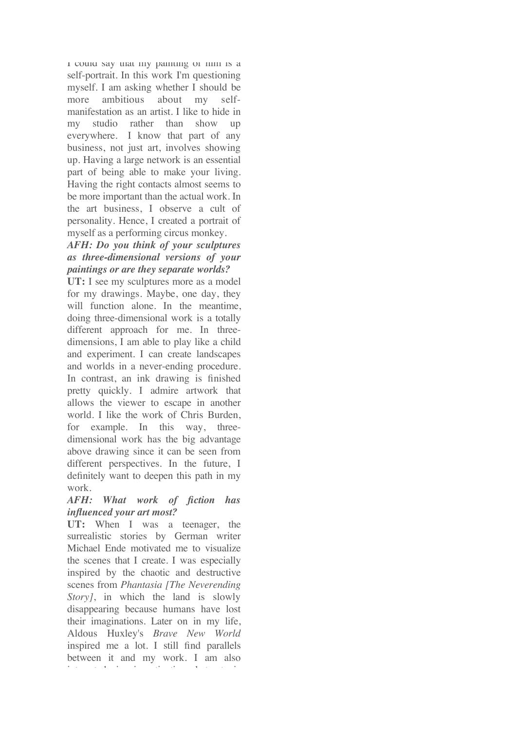I could say that my painting of him is a self-portrait. In this work I'm questioning myself. I am asking whether I should be more ambitious about my selfmanifestation as an artist. I like to hide in my studio rather than show up everywhere. I know that part of any business, not just art, involves showing up. Having a large network is an essential part of being able to make your living. Having the right contacts almost seems to be more important than the actual work. In the art business, I observe a cult of personality. Hence, I created a portrait of myself as a performing circus monkey.

## *AFH: Do you think of your sculptures as three-dimensional versions of your paintings or are they separate worlds?*

**UT:** I see my sculptures more as a model for my drawings. Maybe, one day, they will function alone. In the meantime, doing three-dimensional work is a totally different approach for me. In threedimensions, I am able to play like a child and experiment. I can create landscapes and worlds in a never-ending procedure. In contrast, an ink drawing is finished pretty quickly. I admire artwork that allows the viewer to escape in another world. I like the work of Chris Burden, for example. In this way, threedimensional work has the big advantage above drawing since it can be seen from different perspectives. In the future, I definitely want to deepen this path in my work.

#### *AFH: What work of fiction has influenced your art most?*

**UT:** When I was a teenager, the surrealistic stories by German writer Michael Ende motivated me to visualize the scenes that I create. I was especially inspired by the chaotic and destructive scenes from *Phantasia [The Neverending Story*, in which the land is slowly disappearing because humans have lost their imaginations. Later on in my life, Aldous Huxley's *Brave New World* inspired me a lot. I still find parallels between it and my work. I am also interested in investigating heterotopic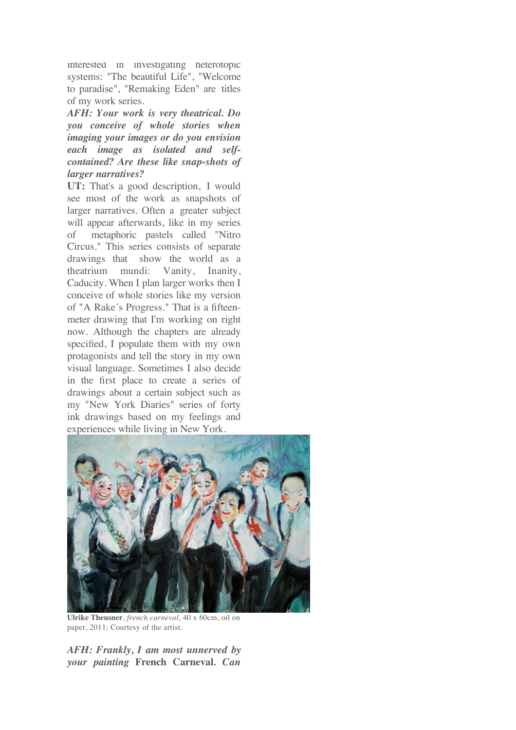interested in investigating heterotopic systems: "The beautiful Life", "Welcome to paradise", "Remaking Eden" are titles of my work series.

*AFH: Your work is very theatrical. Do you conceive of whole stories when imaging your images or do you envision each image as isolated and selfcontained? Are these like snap-shots of larger narratives?*

**UT:** That's a good description, I would see most of the work as snapshots of larger narratives. Often a greater subject will appear afterwards, like in my series of metaphoric pastels called "Nitro Circus." This series consists of separate drawings that show the world as a theatrium mundi: Vanity, Inanity, Caducity. When I plan larger works then I conceive of whole stories like my version of "A Rake´s Progress." That is a fifteenmeter drawing that I'm working on right now. Although the chapters are already specified, I populate them with my own protagonists and tell the story in my own visual language. Sometimes I also decide in the first place to create a series of drawings about a certain subject such as my "New York Diaries" series of forty ink drawings based on my feelings and experiences while living in New York.



**Ulrike Theusner***, french carneval,* 40 x 60cm, oil on paper, 2011; Courtesy of the artist.

*AFH: Frankly, I am most unnerved by your painting* **French Carneval***. Can*